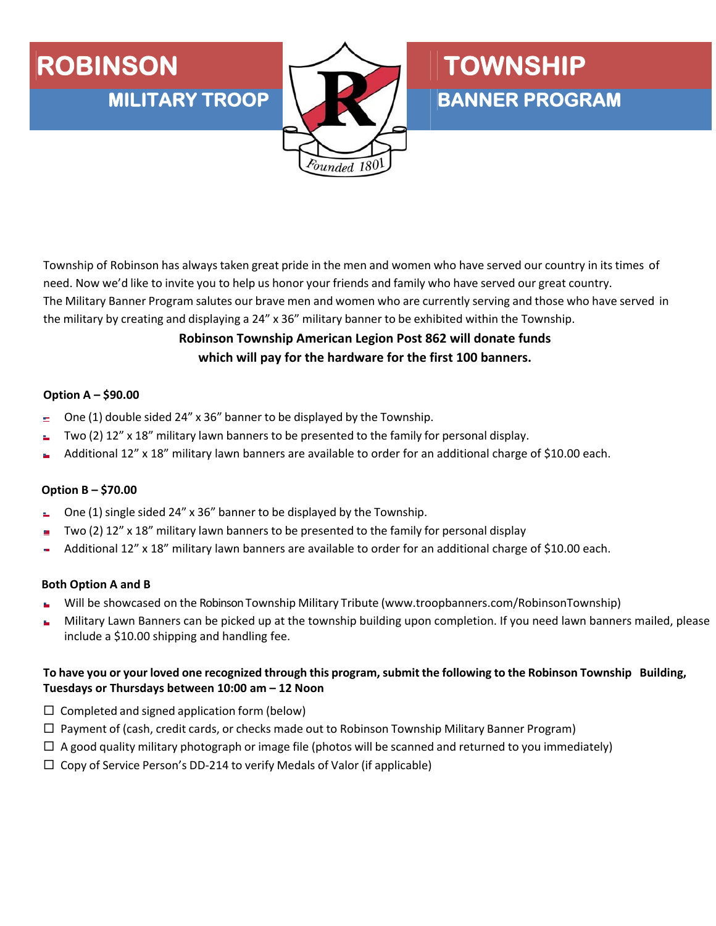## ROBINSON **TOWNSHIP**



# **MILITARY TROOP BANNER PROGRAM**

Township of Robinson has always taken great pride in the men and women who have served our country in its times of need. Now we'd like to invite you to help us honor your friends and family who have served our great country. The Military Banner Program salutes our brave men and women who are currently serving and those who have served in the military by creating and displaying a 24" x 36" military banner to be exhibited within the Township.

### **Robinson Township American Legion Post 862 will donate funds which will pay for the hardware for the first 100 banners.**

#### **Option A – \$90.00**

- One (1) double sided 24" x 36" banner to be displayed by the Township.
- Two (2) 12" x 18" military lawn banners to be presented to the family for personal display.
- Additional 12" x 18" military lawn banners are available to order for an additional charge of \$10.00 each.

#### **Option B – \$70.00**

- One (1) single sided 24" x 36" banner to be displayed by the Township.
- Two (2) 12" x 18" military lawn banners to be presented to the family for personal display
- Additional 12" x 18" military lawn banners are available to order for an additional charge of \$10.00 each.

#### **Both Option A and B**

- Will be showcased on the Robinson Township Military Tribute (www.troopbanners.com/RobinsonTownship)
- Military Lawn Banners can be picked up at the township building upon completion. If you need lawn banners mailed, please r. include a \$10.00 shipping and handling fee.

#### To have you or your loved one recognized through this program, submit the following to the Robinson Township Building, **Tuesdays or Thursdays between 10:00 am – 12 Noon**

- $\Box$  Completed and signed application form (below)
- $\Box$  Payment of (cash, credit cards, or checks made out to Robinson Township Military Banner Program)
- $\Box$  A good quality military photograph or image file (photos will be scanned and returned to you immediately)
- $\Box$  Copy of Service Person's DD-214 to verify Medals of Valor (if applicable)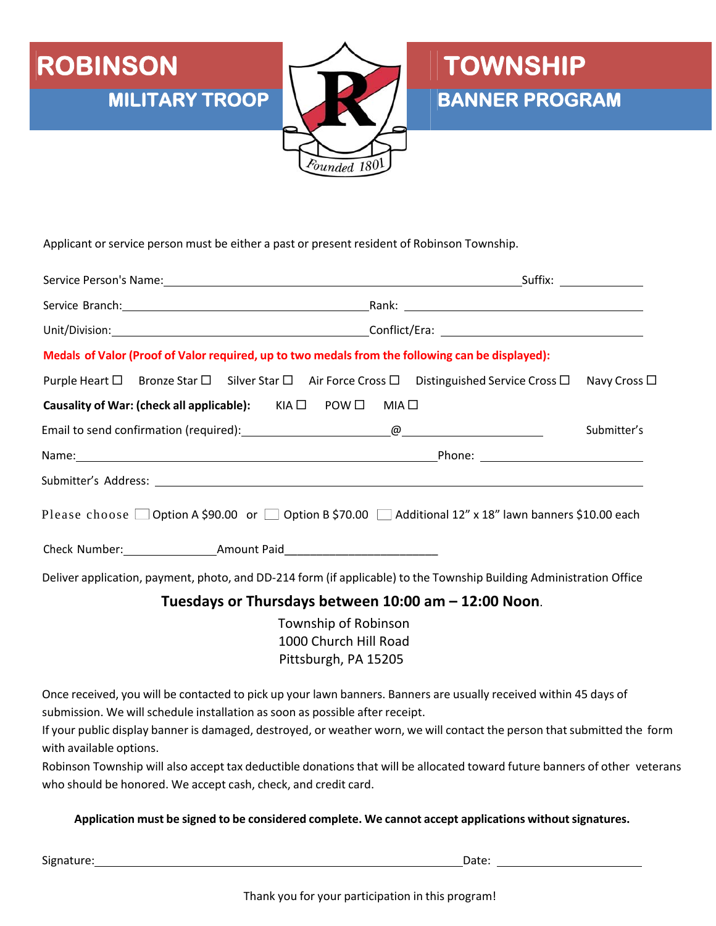

Applicant or service person must be either a past or present resident of Robinson Township.

| Medals of Valor (Proof of Valor required, up to two medals from the following can be displayed):                                   |  |                      |  |
|------------------------------------------------------------------------------------------------------------------------------------|--|----------------------|--|
| Purple Heart $\square$ Bronze Star $\square$ Silver Star $\square$ Air Force Cross $\square$ Distinguished Service Cross $\square$ |  | Navy Cross $\square$ |  |
| Causality of War: (check all applicable): KIA □ POW □ MIA □                                                                        |  |                      |  |
|                                                                                                                                    |  | Submitter's          |  |
|                                                                                                                                    |  |                      |  |
|                                                                                                                                    |  |                      |  |
| Please choose $\Box$ Option A \$90.00 or $\Box$ Option B \$70.00 $\Box$ Additional 12" x 18" lawn banners \$10.00 each             |  |                      |  |
|                                                                                                                                    |  |                      |  |
| Deliver application, payment, photo, and DD-214 form (if applicable) to the Township Building Administration Office                |  |                      |  |

Founded 180

#### **Tuesdays or Thursdays between 10:00 am – 12:00 Noon**.

Township of Robinson 1000 Church Hill Road Pittsburgh, PA 15205

Once received, you will be contacted to pick up your lawn banners. Banners are usually received within 45 days of submission. We will schedule installation as soon as possible after receipt.

If your public display banner is damaged, destroyed, or weather worn, we will contact the person that submitted the form with available options.

Robinson Township will also accept tax deductible donations that will be allocated toward future banners of other veterans who should be honored. We accept cash, check, and credit card.

#### **Application must be signed to be considered complete. We cannot accept applications withoutsignatures.**

Signature: Date: Date: Date: Date: Date: Date: Date: Date: Date: Date: Date: Date: Date: Date: Date: Date: Date: Date: Date: Date: Date: Date: Date: Date: Date: Date: Date: Date: Date: Date: Date: Date: Date: Date: Date: D